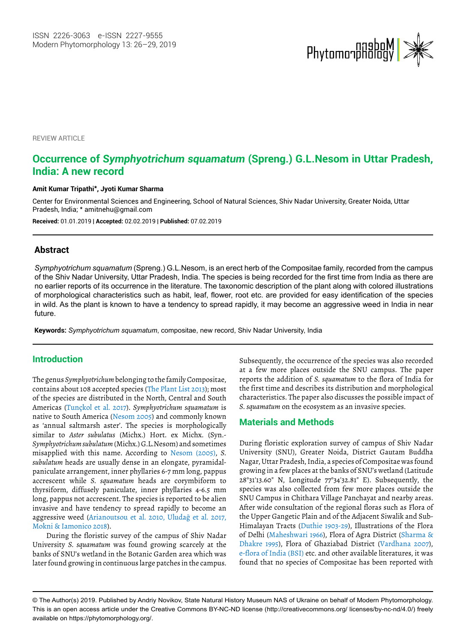

**REVIEW ARTICLE** 

# **Occurrence of** *Symphyotrichum squamatum* **(Spreng.) G.L.Nesom in Uttar Pradesh, India: A new record**

#### **Amit Kumar Tripathi\*, Jyoti Kumar Sharma**

Center for Environmental Sciences and Engineering, School of Natural Sciences, Shiv Nadar University, Greater Noida, Uttar Pradesh, India; \* amitnehu@gmail.com

**Received:** 01.01.2019 | **Accepted:** 02.02.2019 | **Published:** 07.02.2019

### **Abstract**

*Symphyotrichum squamatum* (Spreng.) G.L.Nesom, is an erect herb of the Compositae family, recorded from the campus of the Shiv Nadar University, Uttar Pradesh, India. The species is being recorded for the first time from India as there are no earlier reports of its occurrence in the literature. The taxonomic description of the plant along with colored illustrations of morphological characteristics such as habit, leaf, flower, root etc. are provided for easy identification of the species in wild. As the plant is known to have a tendency to spread rapidly, it may become an aggressive weed in India in near future.

**Keywords:** *Symphyotrichum squamatum*, compositae, new record, Shiv Nadar University, India

### **Introduction**

The genus *Symphyotrichum* belonging to the family Compositae, contains about 108 accepted species (The Plant List 2013); most of the species are distributed in the North, Central and South Americas (Tunçkol et al. 2017). *Symphyotrichum squamatum* is native to South America (Nesom 2005) and commonly known as 'annual saltmarsh aster'. The species is morphologically similar to *Aster subulatus* (Michx.) Hort. ex Michx. (Syn.- *Symphyotrichum subulatum* (Michx.) G.L.Nesom) and sometimes misapplied with this name. According to Nesom (2005), *S. subulatum* heads are usually dense in an elongate, pyramidalpaniculate arrangement, inner phyllaries 6-7 mm long, pappus accrescent while *S. squamatum* heads are corymbiform to thyrsiform, diffusely paniculate, inner phyllaries 4-6.5 mm long, pappus not accrescent. The species is reported to be alien invasive and have tendency to spread rapidly to become an aggressive weed (Arianoutsou et al. 2010, Uludağ et al. 2017, Mokni & Iamonico 2018).

During the floristic survey of the campus of Shiv Nadar University *S. squamatum* was found growing scarcely at the banks of SNU's wetland in the Botanic Garden area which was later found growing in continuous large patches in the campus.

Subsequently, the occurrence of the species was also recorded at a few more places outside the SNU campus. The paper reports the addition of *S. squamatum* to the flora of India for the first time and describes its distribution and morphological characteristics. The paper also discusses the possible impact of *S. squamatum* on the ecosystem as an invasive species.

### **Materials and Methods**

During floristic exploration survey of campus of Shiv Nadar University (SNU), Greater Noida, District Gautam Buddha Nagar, Uttar Pradesh, India, a species of Compositae was found growing in a few places at the banks of SNU's wetland (Latitude 28°31'13.60" N, Longitude 77°34'32.81" E). Subsequently, the species was also collected from few more places outside the SNU Campus in Chithara Village Panchayat and nearby areas. After wide consultation of the regional floras such as Flora of the Upper Gangetic Plain and of the Adjacent Siwalik and Sub-Himalayan Tracts (Duthie 1903-29), Illustrations of the Flora of Delhi (Maheshwari 1966), Flora of Agra District (Sharma & Dhakre 1995), Flora of Ghaziabad District (Vardhana 2007), e-flora of India (BSI) etc. and other available literatures, it was found that no species of Compositae has been reported with

<sup>©</sup> The Author(s) 2019. Published by Andriy Novikov, State Natural History Museum NAS of Ukraine on behalf of Modern Phytomorphology. This is an open access article under the Creative Commons BY-NC-ND license (http://creativecommons.org/ licenses/by-nc-nd/4.0/) freely available on https://phytomorphology.org/.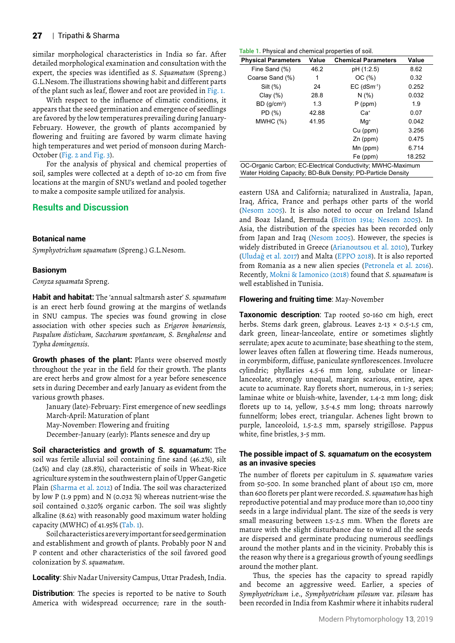#### 27 | Tripathi & Sharma

similar morphological characteristics in India so far. After detailed morphological examination and consultation with the expert, the species was identified as *S. Squamatum* (Spreng.) G.L.Nesom. The illustrations showing habit and different parts of the plant such as leaf, flower and root are provided in Fig. 1.

With respect to the influence of climatic conditions, it appears that the seed germination and emergence of seedlings are favored by the low temperatures prevailing during January-February. However, the growth of plants accompanied by flowering and fruiting are favored by warm climate having high temperatures and wet period of monsoon during March-October (Fig. 2 and Fig. 3).

For the analysis of physical and chemical properties of soil, samples were collected at a depth of 10-20 cm from five locations at the margin of SNU's wetland and pooled together to make a composite sample utilized for analysis.

## **Results and Discussion**

#### **Botanical name**

*Symphyotrichum squamatum* (Spreng.) G.L.Nesom.

#### **Basionym**

*Conyza squamata* Spreng.

**Habit and habitat:** The 'annual saltmarsh aster' *S. squamatum* is an erect herb found growing at the margins of wetlands in SNU campus. The species was found growing in close association with other species such as *Erigeron bonariensis, Paspalum distichum, Saccharum spontaneum, S. Benghalense* and *Typha domingensis*.

**Growth phases of the plant:** Plants were observed mostly throughout the year in the field for their growth. The plants are erect herbs and grow almost for a year before senescence sets in during December and early January as evident from the various growth phases.

January (late)-February: First emergence of new seedlings March-April: Maturation of plant May-November: Flowering and fruiting

December-January (early): Plants senesce and dry up

**Soil characteristics and growth of** *S. squamatum***:** The soil was fertile alluvial soil containing fine sand (46.2%), silt (24%) and clay (28.8%), characteristic of soils in Wheat-Rice agriculture system in the southwestern plain of Upper Gangetic Plain (Sharma et al. 2012) of India. The soil was characterized by low P (1.9 ppm) and N (0.032 %) whereas nutrient-wise the soil contained 0.320% organic carbon. The soil was slightly alkaline (8.62) with reasonably good maximum water holding capacity (MWHC) of 41.95% (Tab. 1).

Soil characteristics are very important for seed germination and establishment and growth of plants. Probably poor N and P content and other characteristics of the soil favored good colonization by *S. squamatum*.

**Locality**: Shiv Nadar University Campus, Uttar Pradesh, India.

**Distribution**: The species is reported to be native to South America with widespread occurrence; rare in the south-

| Table 1. Physical and chemical properties of soil. |  |  |  |
|----------------------------------------------------|--|--|--|
|----------------------------------------------------|--|--|--|

| <b>Physical Parameters</b>                                  | Value | <b>Chemical Parameters</b> | Value  |  |  |  |
|-------------------------------------------------------------|-------|----------------------------|--------|--|--|--|
| Fine Sand (%)                                               | 46.2  | pH (1:2.5)                 | 8.62   |  |  |  |
| Coarse Sand (%)                                             | 1     | OC(%)                      | 0.32   |  |  |  |
| Silt $(\%)$                                                 | 24    | $EC$ (dSm $^{-1}$ )        | 0.252  |  |  |  |
| Clay $(\%)$                                                 | 28.8  | N(% )                      | 0.032  |  |  |  |
| BD(q/cm <sup>3</sup> )                                      | 1.3   | $P$ (ppm)                  | 1.9    |  |  |  |
| PD (%)                                                      | 42.88 | $Ca+$                      | 0.07   |  |  |  |
| MWHC (%)                                                    | 41.95 | $Mq^*$                     | 0.042  |  |  |  |
|                                                             |       | Cu (ppm)                   | 3.256  |  |  |  |
|                                                             |       | $Zn$ (ppm)                 | 0.475  |  |  |  |
|                                                             |       | Mn (ppm)                   | 6.714  |  |  |  |
|                                                             |       | Fe (ppm)                   | 18.252 |  |  |  |
| OC-Organic Carbon: EC-Electrical Conductivity: MWHC-Maximum |       |                            |        |  |  |  |

OC-Organic Carbon; EC-Electrical Conductivity; MWHC-Maximum Water Holding Capacity; BD-Bulk Density; PD-Particle Density

eastern USA and California; naturalized in Australia, Japan, Iraq, Africa, France and perhaps other parts of the world (Nesom 2005). It is also noted to occur on Ireland Island and Boaz Island, Bermuda (Britton 1914; Nesom 2005). In Asia, the distribution of the species has been recorded only from Japan and Iraq (Nesom 2005). However, the species is widely distributed in Greece (Arianoutsou et al. 2010), Turkey (Uludağ et al. 2017) and Malta (EPPO 2018). It is also reported from Romania as a new alien species (Petronela et al. 2016). Recently, Mokni & Iamonico (2018) found that *S. squamatum* is well established in Tunisia.

#### **Flowering and fruiting time**: May-November

**Taxonomic description**: Tap rooted 50-160 cm high, erect herbs. Stems dark green, glabrous. Leaves 2-13 × 0.5-1.5 cm, dark green, linear-lanceolate, entire or sometimes slightly serrulate; apex acute to acuminate; base sheathing to the stem, lower leaves often fallen at flowering time. Heads numerous, in corymbiform, diffuse, paniculate synflorescences. Involucre cylindric; phyllaries 4.5-6 mm long, subulate or linearlanceolate, strongly unequal, margin scarious, entire, apex acute to acuminate. Ray florets short, numerous, in 1-3 series; laminae white or bluish-white, lavender, 1.4-2 mm long; disk florets up to 14, yellow, 3.5-4.5 mm long; throats narrowly funnelform; lobes erect, triangular. Achenes light brown to purple, lanceoloid, 1.5-2.5 mm, sparsely strigillose. Pappus white, fine bristles, 3-5 mm.

#### **The possible impact of** *S. squamatum* **on the ecosystem as an invasive species**

The number of florets per capitulum in *S. squamatum* varies from 50-500. In some branched plant of about 150 cm, more than 600 florets per plant were recorded. *S. squamatum* has high reproductive potential and may produce more than 10,000 tiny seeds in a large individual plant. The size of the seeds is very small measuring between 1.5-2.5 mm. When the florets are mature with the slight disturbance due to wind all the seeds are dispersed and germinate producing numerous seedlings around the mother plants and in the vicinity. Probably this is the reason why there is a gregarious growth of young seedlings around the mother plant.

Thus, the species has the capacity to spread rapidly and become an aggressive weed. Earlier, a species of *Symphyotrichum* i.e., *Symphyotrichum pilosum* var*. pilosum* has been recorded in India from Kashmir where it inhabits ruderal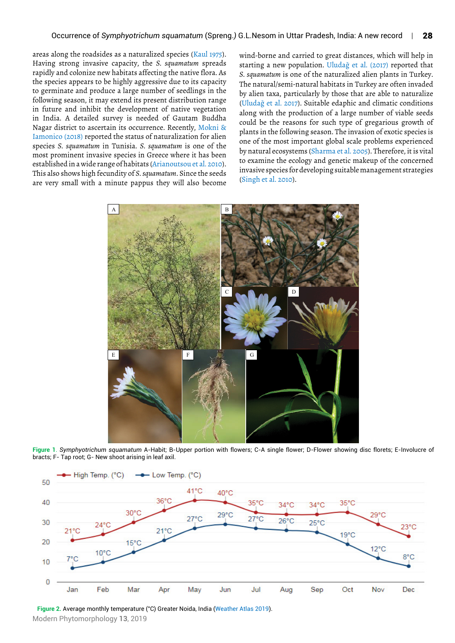areas along the roadsides as a naturalized species (Kaul 1975). Having strong invasive capacity, the *S. squamatum* spreads rapidly and colonize new habitats affecting the native flora. As the species appears to be highly aggressive due to its capacity to germinate and produce a large number of seedlings in the following season, it may extend its present distribution range in future and inhibit the development of native vegetation in India. A detailed survey is needed of Gautam Buddha Nagar district to ascertain its occurrence. Recently, Mokni & Iamonico (2018) reported the status of naturalization for alien species *S. squamatum* in Tunisia. *S. squamatum* is one of the most prominent invasive species in Greece where it has been established in a wide range of habitats (Arianoutsou et al. 2010). This also shows high fecundity of *S. squamatum*. Since the seeds are very small with a minute pappus they will also become

wind-borne and carried to great distances, which will help in starting a new population. Uludağ et al. (2017) reported that *S. squamatum* is one of the naturalized alien plants in Turkey. The natural/semi-natural habitats in Turkey are often invaded by alien taxa, particularly by those that are able to naturalize (Uludağ et al. 2017). Suitable edaphic and climatic conditions along with the production of a large number of viable seeds could be the reasons for such type of gregarious growth of plants in the following season. The invasion of exotic species is one of the most important global scale problems experienced by natural ecosystems (Sharma et al. 2005). Therefore, it is vital to examine the ecology and genetic makeup of the concerned invasive species for developing suitable management strategies (Singh et al. 2010).



**Figure 1**. *Symphyotrichum squamatum* A-Habit; B-Upper portion with flowers; C-A single flower; D-Flower showing disc florets; E-Involucre of bracts; F- Tap root; G- New shoot arising in leaf axil.



Modern Phytomorphology **13**, 2019 **Figure 2.** Average monthly temperature (°C) Greater Noida, India (Weather Atlas 2019).